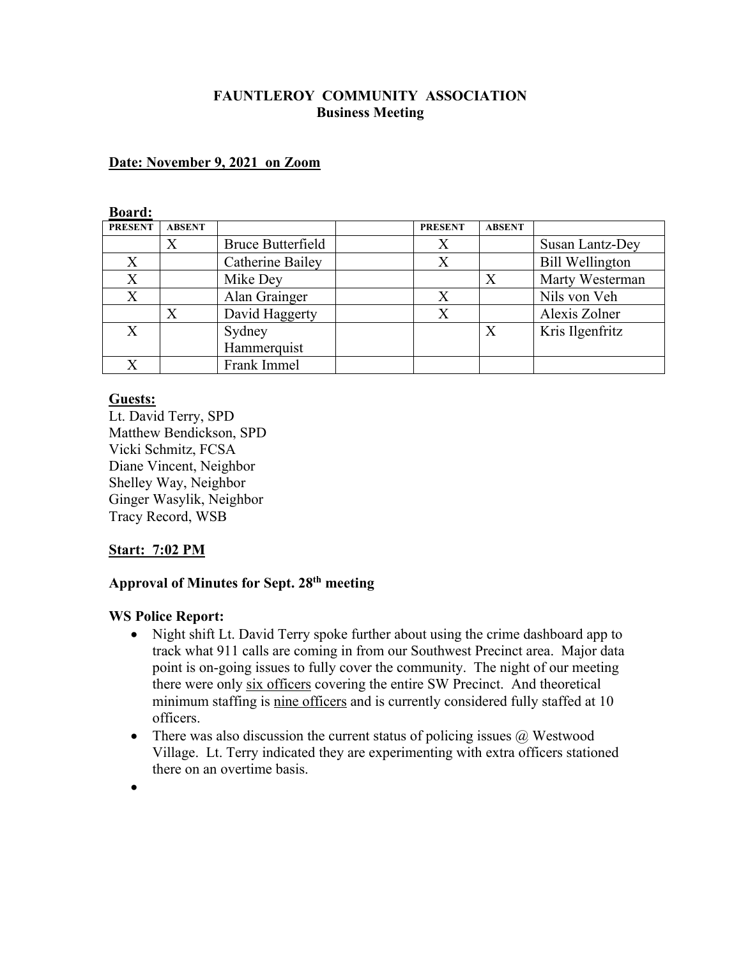### **FAUNTLEROY COMMUNITY ASSOCIATION Business Meeting**

#### **Date: November 9, 2021 on Zoom**

#### **Board:**

| <b>PRESENT</b> | <b>ABSENT</b> |                          | <b>PRESENT</b> | <b>ABSENT</b>    |                        |
|----------------|---------------|--------------------------|----------------|------------------|------------------------|
|                | X             | <b>Bruce Butterfield</b> |                |                  | Susan Lantz-Dey        |
| X              |               | Catherine Bailey         |                |                  | <b>Bill Wellington</b> |
| X              |               | Mike Dey                 |                | Х                | Marty Westerman        |
| X              |               | Alan Grainger            |                |                  | Nils von Veh           |
|                |               | David Haggerty           |                |                  | Alexis Zolner          |
| X              |               | Sydney                   |                | $\boldsymbol{X}$ | Kris Ilgenfritz        |
|                |               | Hammerquist              |                |                  |                        |
|                |               | Frank Immel              |                |                  |                        |

#### **Guests:**

Lt. David Terry, SPD Matthew Bendickson, SPD Vicki Schmitz, FCSA Diane Vincent, Neighbor Shelley Way, Neighbor Ginger Wasylik, Neighbor Tracy Record, WSB

#### **Start: 7:02 PM**

# **Approval of Minutes for Sept. 28th meeting**

#### **WS Police Report:**

- Night shift Lt. David Terry spoke further about using the crime dashboard app to track what 911 calls are coming in from our Southwest Precinct area. Major data point is on-going issues to fully cover the community. The night of our meeting there were only six officers covering the entire SW Precinct. And theoretical minimum staffing is nine officers and is currently considered fully staffed at 10 officers.
- There was also discussion the current status of policing issues  $\omega$  Westwood Village. Lt. Terry indicated they are experimenting with extra officers stationed there on an overtime basis.
- •